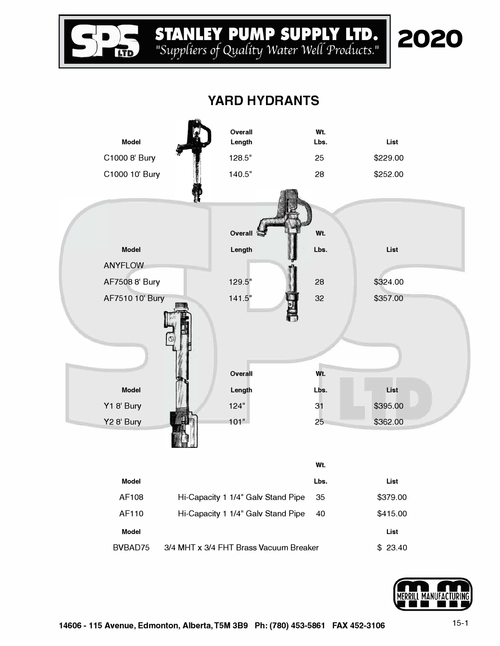

## **� STANLEY PUMP SUPPLY LTD. ra** *11SuyyUers of QyaUty Water We(( Products. <sup>11</sup>*



| <b>Model</b><br>C1000 8' Bury<br>C1000 10' Bury |                                        | Overall<br>Length<br>128.5"<br>140.5" |      | Wt.<br>Lbs.<br>25<br>28 | List<br>\$229.00<br>\$252.00 |  |
|-------------------------------------------------|----------------------------------------|---------------------------------------|------|-------------------------|------------------------------|--|
| <b>Model</b><br><b>ANYFLOW</b>                  |                                        | Overall<br>Length                     |      | Wt.<br>Lbs.             | List                         |  |
| AF7508 8' Bury                                  |                                        | 129.5"                                |      | 28                      | \$324.00                     |  |
| AF7510 10' Bury                                 |                                        | 141.5"                                | Toll | 32                      | \$357.00                     |  |
| <b>Model</b><br>Y18' Bury                       |                                        | Overall<br>Length<br>124"             |      | Wt.<br>Lbs.<br>31       | List<br>\$395.00             |  |
| Y2 8' Bury                                      |                                        | 101"                                  |      | 25                      | \$362.00                     |  |
|                                                 |                                        |                                       |      | Wt.                     |                              |  |
| <b>Model</b>                                    |                                        |                                       |      | Lbs.                    | List                         |  |
| AF108                                           |                                        | Hi-Capacity 1 1/4" Galv Stand Pipe    |      | 35                      | \$379.00                     |  |
| AF110                                           |                                        | Hi-Capacity 1 1/4" Galv Stand Pipe    |      | 40                      | \$415.00                     |  |
| <b>Model</b>                                    |                                        |                                       |      |                         | List                         |  |
| BVBAD75                                         | 3/4 MHT x 3/4 FHT Brass Vacuum Breaker |                                       |      |                         | \$23.40                      |  |

## **YARD HYDRANTS**